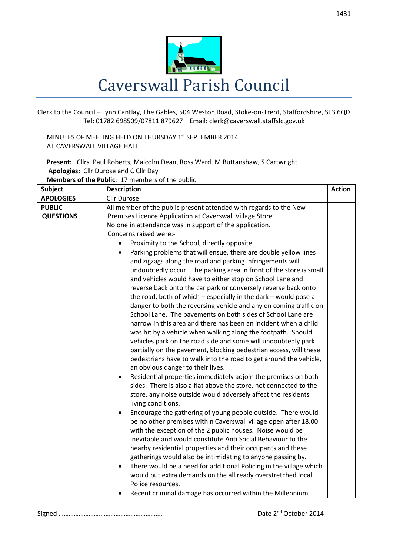

Clerk to the Council – Lynn Cantlay, The Gables, 504 Weston Road, Stoke-on-Trent, Staffordshire, ST3 6QD Tel: 01782 698509/07811 879627 Email: clerk@caverswall.staffslc.gov.uk

MINUTES OF MEETING HELD ON THURSDAY 1<sup>st</sup> SEPTEMBER 2014 AT CAVERSWALL VILLAGE HALL

**Present:** Cllrs. Paul Roberts, Malcolm Dean, Ross Ward, M Buttanshaw, S Cartwright **Apologies:** Cllr Durose and C Cllr Day

**Members of the Public**: 17 members of the public

| <b>Subject</b>   | <b>Description</b><br><b>Action</b>                                          |  |  |
|------------------|------------------------------------------------------------------------------|--|--|
| <b>APOLOGIES</b> | Cllr Durose                                                                  |  |  |
| <b>PUBLIC</b>    | All member of the public present attended with regards to the New            |  |  |
| <b>QUESTIONS</b> | Premises Licence Application at Caverswall Village Store.                    |  |  |
|                  | No one in attendance was in support of the application.                      |  |  |
|                  | Concerns raised were:-                                                       |  |  |
|                  | Proximity to the School, directly opposite.<br>$\bullet$                     |  |  |
|                  | Parking problems that will ensue, there are double yellow lines<br>$\bullet$ |  |  |
|                  | and zigzags along the road and parking infringements will                    |  |  |
|                  | undoubtedly occur. The parking area in front of the store is small           |  |  |
|                  | and vehicles would have to either stop on School Lane and                    |  |  |
|                  | reverse back onto the car park or conversely reverse back onto               |  |  |
|                  | the road, both of which - especially in the dark - would pose a              |  |  |
|                  | danger to both the reversing vehicle and any on coming traffic on            |  |  |
|                  | School Lane. The pavements on both sides of School Lane are                  |  |  |
|                  | narrow in this area and there has been an incident when a child              |  |  |
|                  | was hit by a vehicle when walking along the footpath. Should                 |  |  |
|                  | vehicles park on the road side and some will undoubtedly park                |  |  |
|                  | partially on the pavement, blocking pedestrian access, will these            |  |  |
|                  | pedestrians have to walk into the road to get around the vehicle,            |  |  |
|                  | an obvious danger to their lives.                                            |  |  |
|                  | Residential properties immediately adjoin the premises on both<br>$\bullet$  |  |  |
|                  | sides. There is also a flat above the store, not connected to the            |  |  |
|                  | store, any noise outside would adversely affect the residents                |  |  |
|                  | living conditions.                                                           |  |  |
|                  | Encourage the gathering of young people outside. There would<br>$\bullet$    |  |  |
|                  | be no other premises within Caverswall village open after 18.00              |  |  |
|                  | with the exception of the 2 public houses. Noise would be                    |  |  |
|                  | inevitable and would constitute Anti Social Behaviour to the                 |  |  |
|                  | nearby residential properties and their occupants and these                  |  |  |
|                  | gatherings would also be intimidating to anyone passing by.                  |  |  |
|                  | There would be a need for additional Policing in the village which<br>٠      |  |  |
|                  | would put extra demands on the all ready overstretched local                 |  |  |
|                  | Police resources.                                                            |  |  |
|                  | Recent criminal damage has occurred within the Millennium<br>٠               |  |  |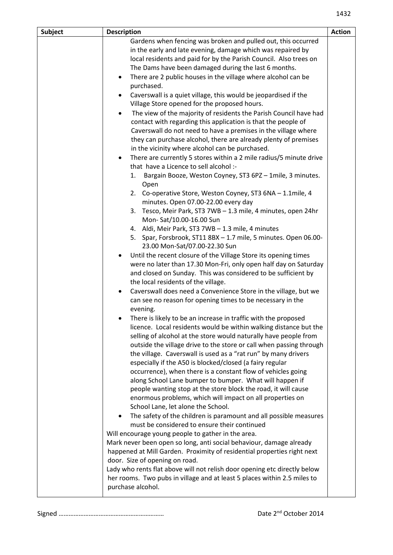| <b>Subject</b> | <b>Description</b>                                                                                                                                                                                                                                                                                                                                                                                                                                                                                                                                                                                                                                                                                                                                                                                                                                                                                                                                                                                                                                                                                                                                                                                                                                                                                                                                                                                                                                                                                                                                                                                                                                                                                                                                                                                                                                                                                                                                                                                                                                                                                                                                                                                                                                                                                                                                                                                                                                                                                                                                                                                                                                                                                                                                                                                                                                                                                                                                                                                                                     | <b>Action</b> |
|----------------|----------------------------------------------------------------------------------------------------------------------------------------------------------------------------------------------------------------------------------------------------------------------------------------------------------------------------------------------------------------------------------------------------------------------------------------------------------------------------------------------------------------------------------------------------------------------------------------------------------------------------------------------------------------------------------------------------------------------------------------------------------------------------------------------------------------------------------------------------------------------------------------------------------------------------------------------------------------------------------------------------------------------------------------------------------------------------------------------------------------------------------------------------------------------------------------------------------------------------------------------------------------------------------------------------------------------------------------------------------------------------------------------------------------------------------------------------------------------------------------------------------------------------------------------------------------------------------------------------------------------------------------------------------------------------------------------------------------------------------------------------------------------------------------------------------------------------------------------------------------------------------------------------------------------------------------------------------------------------------------------------------------------------------------------------------------------------------------------------------------------------------------------------------------------------------------------------------------------------------------------------------------------------------------------------------------------------------------------------------------------------------------------------------------------------------------------------------------------------------------------------------------------------------------------------------------------------------------------------------------------------------------------------------------------------------------------------------------------------------------------------------------------------------------------------------------------------------------------------------------------------------------------------------------------------------------------------------------------------------------------------------------------------------------|---------------|
|                | Gardens when fencing was broken and pulled out, this occurred<br>in the early and late evening, damage which was repaired by<br>local residents and paid for by the Parish Council. Also trees on<br>The Dams have been damaged during the last 6 months.<br>There are 2 public houses in the village where alcohol can be<br>$\bullet$<br>purchased.<br>Caverswall is a quiet village, this would be jeopardised if the<br>Village Store opened for the proposed hours.<br>The view of the majority of residents the Parish Council have had<br>٠<br>contact with regarding this application is that the people of<br>Caverswall do not need to have a premises in the village where<br>they can purchase alcohol, there are already plenty of premises<br>in the vicinity where alcohol can be purchased.<br>There are currently 5 stores within a 2 mile radius/5 minute drive<br>$\bullet$<br>that have a Licence to sell alcohol :-<br>Bargain Booze, Weston Coyney, ST3 6PZ - 1mile, 3 minutes.<br>1.<br>Open<br>2. Co-operative Store, Weston Coyney, ST3 6NA - 1.1mile, 4<br>minutes. Open 07.00-22.00 every day<br>3. Tesco, Meir Park, ST3 7WB - 1.3 mile, 4 minutes, open 24hr<br>Mon-Sat/10.00-16.00 Sun<br>4. Aldi, Meir Park, ST3 7WB - 1.3 mile, 4 minutes<br>5. Spar, Forsbrook, ST11 8BX - 1.7 mile, 5 minutes. Open 06.00-<br>23.00 Mon-Sat/07.00-22.30 Sun<br>Until the recent closure of the Village Store its opening times<br>were no later than 17.30 Mon-Fri, only open half day on Saturday<br>and closed on Sunday. This was considered to be sufficient by<br>the local residents of the village.<br>Caverswall does need a Convenience Store in the village, but we<br>can see no reason for opening times to be necessary in the<br>evening.<br>There is likely to be an increase in traffic with the proposed<br>licence. Local residents would be within walking distance but the<br>selling of alcohol at the store would naturally have people from<br>outside the village drive to the store or call when passing through<br>the village. Caverswall is used as a "rat run" by many drivers<br>especially if the A50 is blocked/closed (a fairy regular<br>occurrence), when there is a constant flow of vehicles going<br>along School Lane bumper to bumper. What will happen if<br>people wanting stop at the store block the road, it will cause<br>enormous problems, which will impact on all properties on<br>School Lane, let alone the School.<br>The safety of the children is paramount and all possible measures<br>must be considered to ensure their continued<br>Will encourage young people to gather in the area.<br>Mark never been open so long, anti social behaviour, damage already<br>happened at Mill Garden. Proximity of residential properties right next<br>door. Size of opening on road.<br>Lady who rents flat above will not relish door opening etc directly below<br>her rooms. Two pubs in village and at least 5 places within 2.5 miles to<br>purchase alcohol. |               |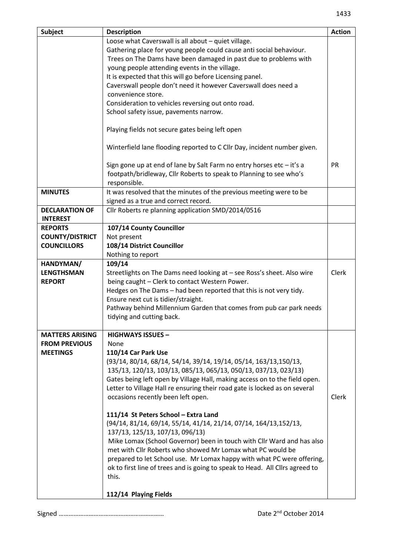| <b>Subject</b>         | <b>Description</b>                                                                                                                                          | <b>Action</b> |  |
|------------------------|-------------------------------------------------------------------------------------------------------------------------------------------------------------|---------------|--|
|                        | Loose what Caverswall is all about - quiet village.                                                                                                         |               |  |
|                        | Gathering place for young people could cause anti social behaviour.                                                                                         |               |  |
|                        | Trees on The Dams have been damaged in past due to problems with                                                                                            |               |  |
|                        | young people attending events in the village.                                                                                                               |               |  |
|                        | It is expected that this will go before Licensing panel.                                                                                                    |               |  |
|                        | Caverswall people don't need it however Caverswall does need a                                                                                              |               |  |
|                        | convenience store.                                                                                                                                          |               |  |
|                        | Consideration to vehicles reversing out onto road.                                                                                                          |               |  |
|                        | School safety issue, pavements narrow.                                                                                                                      |               |  |
|                        | Playing fields not secure gates being left open                                                                                                             |               |  |
|                        | Winterfield lane flooding reported to C Cllr Day, incident number given.                                                                                    |               |  |
|                        | Sign gone up at end of lane by Salt Farm no entry horses etc - it's a<br>footpath/bridleway, Cllr Roberts to speak to Planning to see who's<br>responsible. | <b>PR</b>     |  |
| <b>MINUTES</b>         | It was resolved that the minutes of the previous meeting were to be                                                                                         |               |  |
|                        | signed as a true and correct record.                                                                                                                        |               |  |
| <b>DECLARATION OF</b>  | Cllr Roberts re planning application SMD/2014/0516                                                                                                          |               |  |
| <b>INTEREST</b>        |                                                                                                                                                             |               |  |
| <b>REPORTS</b>         | 107/14 County Councillor                                                                                                                                    |               |  |
| <b>COUNTY/DISTRICT</b> | Not present                                                                                                                                                 |               |  |
| <b>COUNCILLORS</b>     | 108/14 District Councillor                                                                                                                                  |               |  |
|                        | Nothing to report                                                                                                                                           |               |  |
| HANDYMAN/              | 109/14                                                                                                                                                      |               |  |
| <b>LENGTHSMAN</b>      | Streetlights on The Dams need looking at - see Ross's sheet. Also wire                                                                                      | Clerk         |  |
| <b>REPORT</b>          | being caught - Clerk to contact Western Power.                                                                                                              |               |  |
|                        | Hedges on The Dams - had been reported that this is not very tidy.                                                                                          |               |  |
|                        | Ensure next cut is tidier/straight.                                                                                                                         |               |  |
|                        | Pathway behind Millennium Garden that comes from pub car park needs                                                                                         |               |  |
|                        | tidying and cutting back.                                                                                                                                   |               |  |
| <b>MATTERS ARISING</b> | <b>HIGHWAYS ISSUES -</b>                                                                                                                                    |               |  |
| <b>FROM PREVIOUS</b>   | None                                                                                                                                                        |               |  |
| <b>MEETINGS</b>        | 110/14 Car Park Use                                                                                                                                         |               |  |
|                        | (93/14, 80/14, 68/14, 54/14, 39/14, 19/14, 05/14, 163/13, 150/13,                                                                                           |               |  |
|                        | 135/13, 120/13, 103/13, 085/13, 065/13, 050/13, 037/13, 023/13)                                                                                             |               |  |
|                        | Gates being left open by Village Hall, making access on to the field open.                                                                                  |               |  |
|                        | Letter to Village Hall re ensuring their road gate is locked as on several                                                                                  |               |  |
|                        | occasions recently been left open.                                                                                                                          | Clerk         |  |
|                        |                                                                                                                                                             |               |  |
|                        | 111/14 St Peters School - Extra Land                                                                                                                        |               |  |
|                        | (94/14, 81/14, 69/14, 55/14, 41/14, 21/14, 07/14, 164/13,152/13,                                                                                            |               |  |
|                        | 137/13, 125/13, 107/13, 096/13)                                                                                                                             |               |  |
|                        | Mike Lomax (School Governor) been in touch with Cllr Ward and has also                                                                                      |               |  |
|                        | met with Cllr Roberts who showed Mr Lomax what PC would be                                                                                                  |               |  |
|                        | prepared to let School use. Mr Lomax happy with what PC were offering,                                                                                      |               |  |
|                        | ok to first line of trees and is going to speak to Head. All Cllrs agreed to                                                                                |               |  |
|                        | this.                                                                                                                                                       |               |  |
|                        |                                                                                                                                                             |               |  |
|                        | 112/14 Playing Fields                                                                                                                                       |               |  |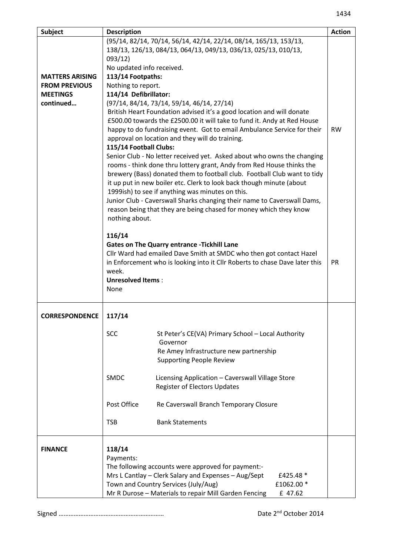| <b>Subject</b>         | <b>Description</b>                                                                                |                                                                             | <b>Action</b> |  |
|------------------------|---------------------------------------------------------------------------------------------------|-----------------------------------------------------------------------------|---------------|--|
|                        |                                                                                                   | (95/14, 82/14, 70/14, 56/14, 42/14, 22/14, 08/14, 165/13, 153/13,           |               |  |
|                        | 138/13, 126/13, 084/13, 064/13, 049/13, 036/13, 025/13, 010/13,                                   |                                                                             |               |  |
|                        | 093/12)                                                                                           |                                                                             |               |  |
|                        | No updated info received.                                                                         |                                                                             |               |  |
| <b>MATTERS ARISING</b> | 113/14 Footpaths:                                                                                 |                                                                             |               |  |
| <b>FROM PREVIOUS</b>   | Nothing to report.                                                                                |                                                                             |               |  |
| <b>MEETINGS</b>        | 114/14 Defibrillator:                                                                             |                                                                             |               |  |
| continued              | (97/14, 84/14, 73/14, 59/14, 46/14, 27/14)                                                        |                                                                             |               |  |
|                        | British Heart Foundation advised it's a good location and will donate                             |                                                                             |               |  |
|                        | £500.00 towards the £2500.00 it will take to fund it. Andy at Red House                           |                                                                             |               |  |
|                        | happy to do fundraising event. Got to email Ambulance Service for their<br><b>RW</b>              |                                                                             |               |  |
|                        | approval on location and they will do training.                                                   |                                                                             |               |  |
|                        | 115/14 Football Clubs:<br>Senior Club - No letter received yet. Asked about who owns the changing |                                                                             |               |  |
|                        | rooms - think done thru lottery grant, Andy from Red House thinks the                             |                                                                             |               |  |
|                        | brewery (Bass) donated them to football club. Football Club want to tidy                          |                                                                             |               |  |
|                        | it up put in new boiler etc. Clerk to look back though minute (about                              |                                                                             |               |  |
|                        | 1999ish) to see if anything was minutes on this.                                                  |                                                                             |               |  |
|                        | Junior Club - Caverswall Sharks changing their name to Caverswall Dams,                           |                                                                             |               |  |
|                        | reason being that they are being chased for money which they know                                 |                                                                             |               |  |
|                        | nothing about.                                                                                    |                                                                             |               |  |
|                        |                                                                                                   |                                                                             |               |  |
|                        | 116/14                                                                                            |                                                                             |               |  |
|                        |                                                                                                   | <b>Gates on The Quarry entrance - Tickhill Lane</b>                         |               |  |
|                        |                                                                                                   | Cllr Ward had emailed Dave Smith at SMDC who then got contact Hazel         |               |  |
|                        |                                                                                                   | in Enforcement who is looking into it Cllr Roberts to chase Dave later this | PR            |  |
|                        |                                                                                                   | week.                                                                       |               |  |
|                        | None                                                                                              | <b>Unresolved Items:</b>                                                    |               |  |
|                        |                                                                                                   |                                                                             |               |  |
|                        |                                                                                                   |                                                                             |               |  |
| <b>CORRESPONDENCE</b>  | 117/14                                                                                            |                                                                             |               |  |
|                        | <b>SCC</b>                                                                                        | St Peter's CE(VA) Primary School - Local Authority                          |               |  |
|                        |                                                                                                   | Governor                                                                    |               |  |
|                        |                                                                                                   | Re Amey Infrastructure new partnership                                      |               |  |
|                        |                                                                                                   | <b>Supporting People Review</b>                                             |               |  |
|                        |                                                                                                   |                                                                             |               |  |
|                        | SMDC                                                                                              | Licensing Application - Caverswall Village Store                            |               |  |
|                        |                                                                                                   | <b>Register of Electors Updates</b>                                         |               |  |
|                        |                                                                                                   |                                                                             |               |  |
|                        | Post Office                                                                                       | Re Caverswall Branch Temporary Closure                                      |               |  |
|                        |                                                                                                   |                                                                             |               |  |
|                        | <b>TSB</b>                                                                                        | <b>Bank Statements</b>                                                      |               |  |
|                        |                                                                                                   |                                                                             |               |  |
| <b>FINANCE</b>         | 118/14                                                                                            |                                                                             |               |  |
|                        | Payments:                                                                                         |                                                                             |               |  |
|                        | The following accounts were approved for payment:-                                                |                                                                             |               |  |
|                        | Mrs L Cantlay - Clerk Salary and Expenses - Aug/Sept<br>£425.48 *                                 |                                                                             |               |  |
|                        | Town and Country Services (July/Aug)<br>£1062.00 *                                                |                                                                             |               |  |
|                        |                                                                                                   | Mr R Durose - Materials to repair Mill Garden Fencing<br>£ 47.62            |               |  |

Signed ……………………………………………………… Date 2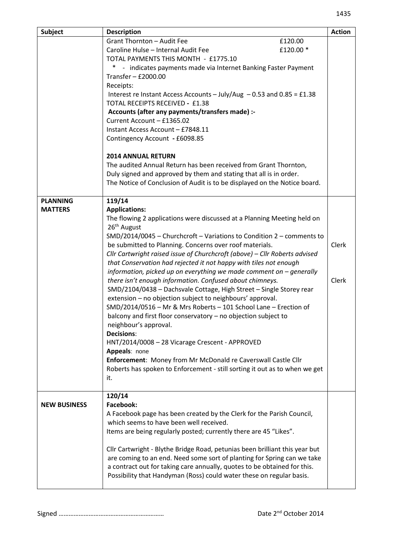| <b>Subject</b>      | <b>Description</b>                                                                                                                                                                            | <b>Action</b> |  |
|---------------------|-----------------------------------------------------------------------------------------------------------------------------------------------------------------------------------------------|---------------|--|
|                     | Grant Thornton - Audit Fee<br>£120.00                                                                                                                                                         |               |  |
|                     | £120.00 *<br>Caroline Hulse - Internal Audit Fee                                                                                                                                              |               |  |
|                     | TOTAL PAYMENTS THIS MONTH - £1775.10                                                                                                                                                          |               |  |
|                     | $\ast$<br>- indicates payments made via Internet Banking Faster Payment                                                                                                                       |               |  |
|                     | Transfer - £2000.00                                                                                                                                                                           |               |  |
|                     | Receipts:                                                                                                                                                                                     |               |  |
|                     | Interest re Instant Access Accounts - July/Aug $-0.53$ and $0.85 = £1.38$<br>TOTAL RECEIPTS RECEIVED - £1.38<br>Accounts (after any payments/transfers made) :-<br>Current Account - £1365.02 |               |  |
|                     |                                                                                                                                                                                               |               |  |
|                     |                                                                                                                                                                                               |               |  |
|                     |                                                                                                                                                                                               |               |  |
|                     | Instant Access Account - £7848.11                                                                                                                                                             |               |  |
|                     | Contingency Account - £6098.85                                                                                                                                                                |               |  |
|                     | <b>2014 ANNUAL RETURN</b>                                                                                                                                                                     |               |  |
|                     | The audited Annual Return has been received from Grant Thornton,                                                                                                                              |               |  |
|                     | Duly signed and approved by them and stating that all is in order.                                                                                                                            |               |  |
|                     | The Notice of Conclusion of Audit is to be displayed on the Notice board.                                                                                                                     |               |  |
|                     |                                                                                                                                                                                               |               |  |
| <b>PLANNING</b>     | 119/14                                                                                                                                                                                        |               |  |
| <b>MATTERS</b>      | <b>Applications:</b>                                                                                                                                                                          |               |  |
|                     | The flowing 2 applications were discussed at a Planning Meeting held on                                                                                                                       |               |  |
|                     | 26 <sup>th</sup> August                                                                                                                                                                       |               |  |
|                     | SMD/2014/0045 - Churchcroft - Variations to Condition 2 - comments to                                                                                                                         |               |  |
|                     | be submitted to Planning. Concerns over roof materials.                                                                                                                                       | Clerk         |  |
|                     | Cllr Cartwright raised issue of Churchcroft (above) - Cllr Roberts advised                                                                                                                    |               |  |
|                     | that Conservation had rejected it not happy with tiles not enough                                                                                                                             |               |  |
|                     | information, picked up on everything we made comment on $-$ generally                                                                                                                         |               |  |
|                     | there isn't enough information. Confused about chimneys.                                                                                                                                      | Clerk         |  |
|                     | SMD/2104/0438 - Dachsvale Cottage, High Street - Single Storey rear                                                                                                                           |               |  |
|                     | extension - no objection subject to neighbours' approval.                                                                                                                                     |               |  |
|                     | SMD/2014/0516 - Mr & Mrs Roberts - 101 School Lane - Erection of                                                                                                                              |               |  |
|                     | balcony and first floor conservatory - no objection subject to                                                                                                                                |               |  |
|                     | neighbour's approval.                                                                                                                                                                         |               |  |
|                     | <b>Decisions:</b>                                                                                                                                                                             |               |  |
|                     | HNT/2014/0008 - 28 Vicarage Crescent - APPROVED                                                                                                                                               |               |  |
|                     | Appeals: none                                                                                                                                                                                 |               |  |
|                     | Enforcement: Money from Mr McDonald re Caverswall Castle Cllr                                                                                                                                 |               |  |
|                     | Roberts has spoken to Enforcement - still sorting it out as to when we get                                                                                                                    |               |  |
|                     | it.                                                                                                                                                                                           |               |  |
|                     |                                                                                                                                                                                               |               |  |
|                     | 120/14                                                                                                                                                                                        |               |  |
| <b>NEW BUSINESS</b> | <b>Facebook:</b>                                                                                                                                                                              |               |  |
|                     | A Facebook page has been created by the Clerk for the Parish Council,                                                                                                                         |               |  |
|                     | which seems to have been well received.                                                                                                                                                       |               |  |
|                     | Items are being regularly posted; currently there are 45 "Likes".                                                                                                                             |               |  |
|                     |                                                                                                                                                                                               |               |  |
|                     | Cllr Cartwright - Blythe Bridge Road, petunias been brilliant this year but                                                                                                                   |               |  |
|                     | are coming to an end. Need some sort of planting for Spring can we take                                                                                                                       |               |  |
|                     | a contract out for taking care annually, quotes to be obtained for this.                                                                                                                      |               |  |
|                     | Possibility that Handyman (Ross) could water these on regular basis.                                                                                                                          |               |  |
|                     |                                                                                                                                                                                               |               |  |